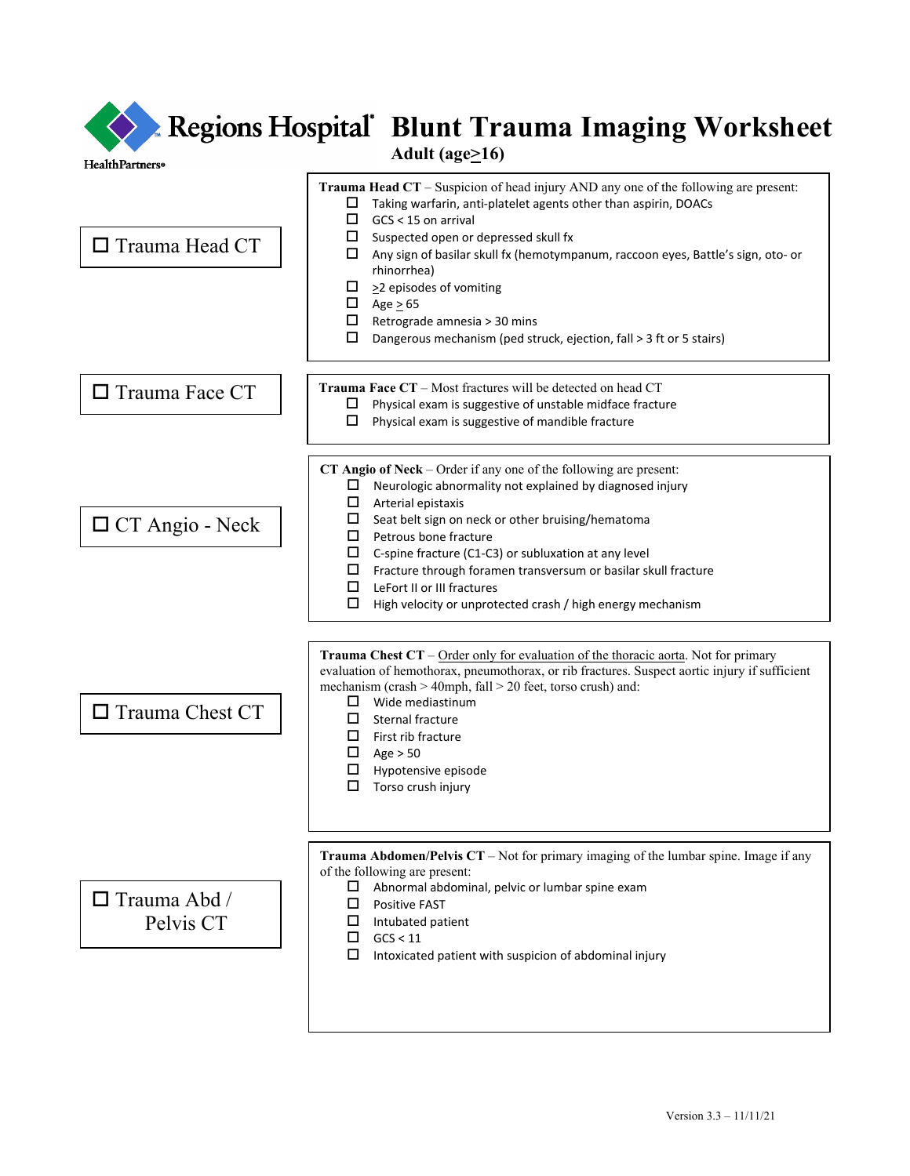